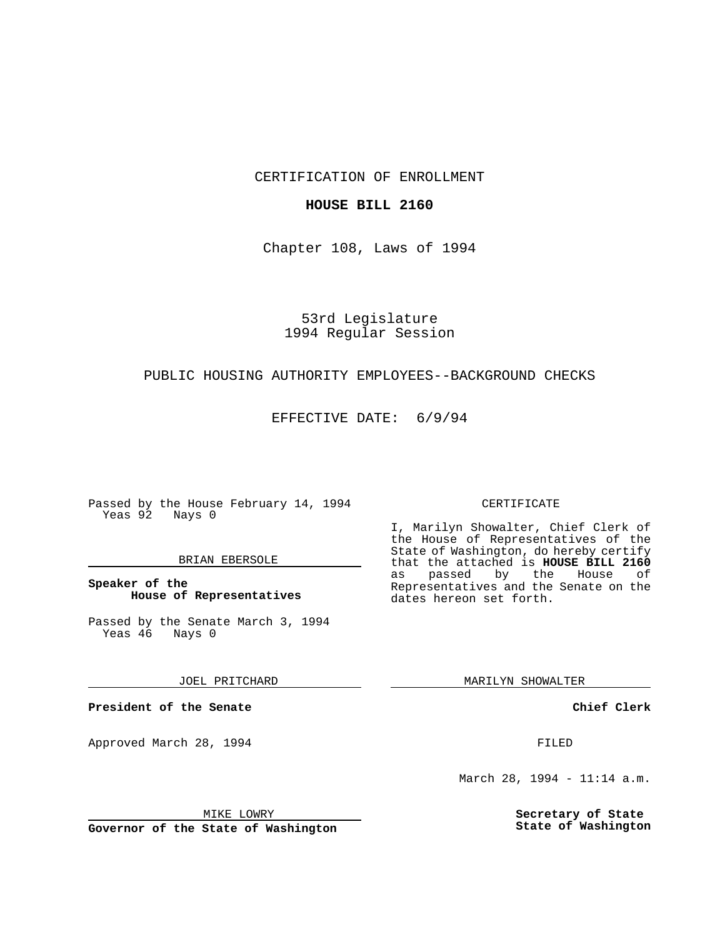CERTIFICATION OF ENROLLMENT

## **HOUSE BILL 2160**

Chapter 108, Laws of 1994

# 53rd Legislature 1994 Regular Session

## PUBLIC HOUSING AUTHORITY EMPLOYEES--BACKGROUND CHECKS

EFFECTIVE DATE: 6/9/94

Passed by the House February 14, 1994 Yeas 92 Nays 0

#### BRIAN EBERSOLE

**Speaker of the House of Representatives**

Passed by the Senate March 3, 1994 Yeas 46 Nays 0

JOEL PRITCHARD

**President of the Senate**

Approved March 28, 1994 **FILED** 

## CERTIFICATE

I, Marilyn Showalter, Chief Clerk of the House of Representatives of the State of Washington, do hereby certify that the attached is **HOUSE BILL 2160** as passed by the Representatives and the Senate on the dates hereon set forth.

MARILYN SHOWALTER

**Chief Clerk**

March 28, 1994 - 11:14 a.m.

**Secretary of State State of Washington**

MIKE LOWRY

**Governor of the State of Washington**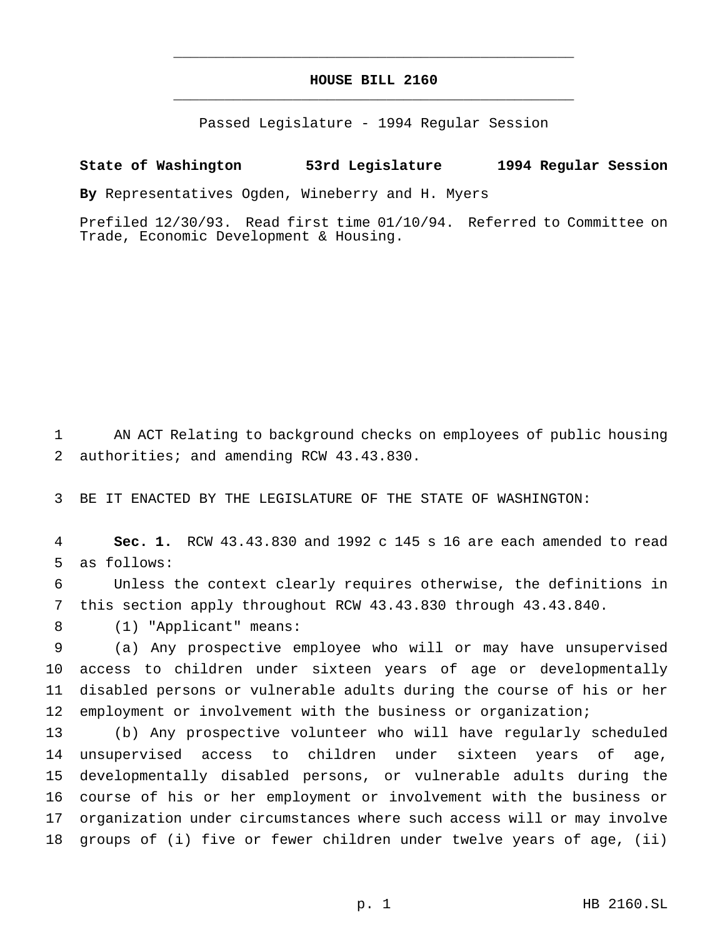## **HOUSE BILL 2160** \_\_\_\_\_\_\_\_\_\_\_\_\_\_\_\_\_\_\_\_\_\_\_\_\_\_\_\_\_\_\_\_\_\_\_\_\_\_\_\_\_\_\_\_\_\_\_

\_\_\_\_\_\_\_\_\_\_\_\_\_\_\_\_\_\_\_\_\_\_\_\_\_\_\_\_\_\_\_\_\_\_\_\_\_\_\_\_\_\_\_\_\_\_\_

Passed Legislature - 1994 Regular Session

## **State of Washington 53rd Legislature 1994 Regular Session**

**By** Representatives Ogden, Wineberry and H. Myers

Prefiled 12/30/93. Read first time 01/10/94. Referred to Committee on Trade, Economic Development & Housing.

 AN ACT Relating to background checks on employees of public housing authorities; and amending RCW 43.43.830.

BE IT ENACTED BY THE LEGISLATURE OF THE STATE OF WASHINGTON:

 **Sec. 1.** RCW 43.43.830 and 1992 c 145 s 16 are each amended to read as follows:

 Unless the context clearly requires otherwise, the definitions in this section apply throughout RCW 43.43.830 through 43.43.840.

(1) "Applicant" means:

 (a) Any prospective employee who will or may have unsupervised access to children under sixteen years of age or developmentally disabled persons or vulnerable adults during the course of his or her 12 employment or involvement with the business or organization;

 (b) Any prospective volunteer who will have regularly scheduled unsupervised access to children under sixteen years of age, developmentally disabled persons, or vulnerable adults during the course of his or her employment or involvement with the business or organization under circumstances where such access will or may involve groups of (i) five or fewer children under twelve years of age, (ii)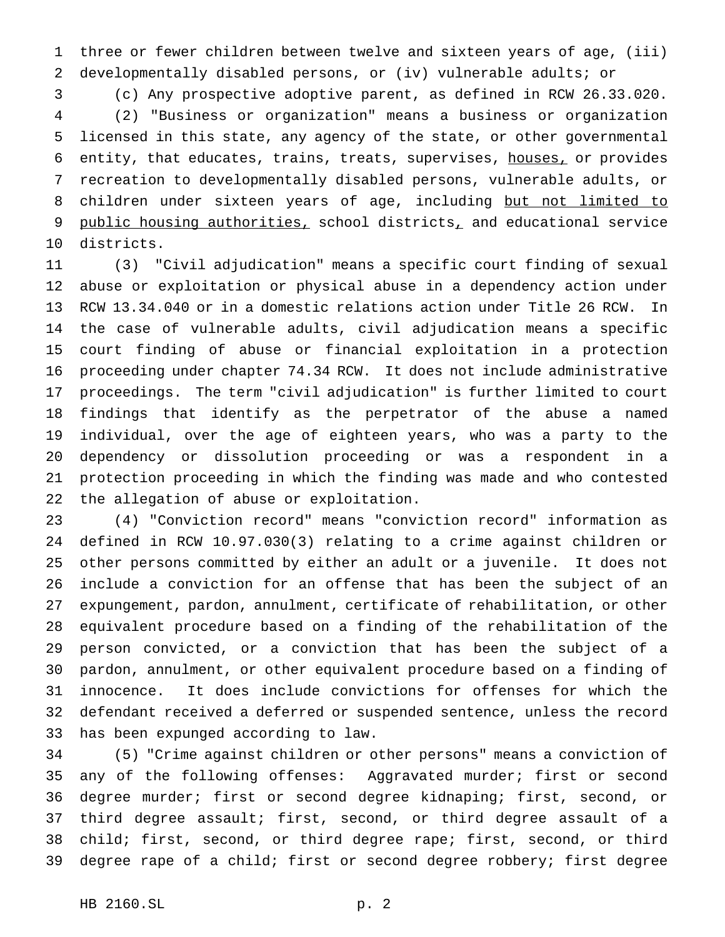three or fewer children between twelve and sixteen years of age, (iii) developmentally disabled persons, or (iv) vulnerable adults; or

 (c) Any prospective adoptive parent, as defined in RCW 26.33.020. (2) "Business or organization" means a business or organization licensed in this state, any agency of the state, or other governmental entity, that educates, trains, treats, supervises, houses, or provides recreation to developmentally disabled persons, vulnerable adults, or 8 children under sixteen years of age, including but not limited to 9 public housing authorities, school districts, and educational service districts.

 (3) "Civil adjudication" means a specific court finding of sexual abuse or exploitation or physical abuse in a dependency action under RCW 13.34.040 or in a domestic relations action under Title 26 RCW. In the case of vulnerable adults, civil adjudication means a specific court finding of abuse or financial exploitation in a protection proceeding under chapter 74.34 RCW. It does not include administrative proceedings. The term "civil adjudication" is further limited to court findings that identify as the perpetrator of the abuse a named individual, over the age of eighteen years, who was a party to the dependency or dissolution proceeding or was a respondent in a protection proceeding in which the finding was made and who contested the allegation of abuse or exploitation.

 (4) "Conviction record" means "conviction record" information as defined in RCW 10.97.030(3) relating to a crime against children or other persons committed by either an adult or a juvenile. It does not include a conviction for an offense that has been the subject of an expungement, pardon, annulment, certificate of rehabilitation, or other equivalent procedure based on a finding of the rehabilitation of the person convicted, or a conviction that has been the subject of a pardon, annulment, or other equivalent procedure based on a finding of innocence. It does include convictions for offenses for which the defendant received a deferred or suspended sentence, unless the record has been expunged according to law.

 (5) "Crime against children or other persons" means a conviction of any of the following offenses: Aggravated murder; first or second degree murder; first or second degree kidnaping; first, second, or third degree assault; first, second, or third degree assault of a child; first, second, or third degree rape; first, second, or third degree rape of a child; first or second degree robbery; first degree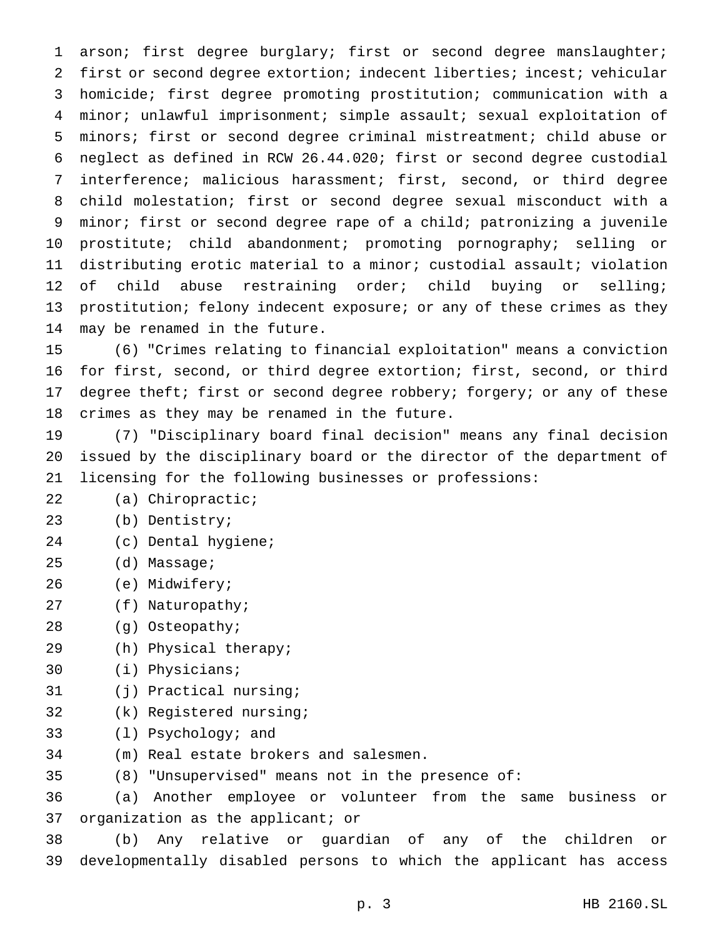arson; first degree burglary; first or second degree manslaughter; first or second degree extortion; indecent liberties; incest; vehicular homicide; first degree promoting prostitution; communication with a minor; unlawful imprisonment; simple assault; sexual exploitation of minors; first or second degree criminal mistreatment; child abuse or neglect as defined in RCW 26.44.020; first or second degree custodial interference; malicious harassment; first, second, or third degree child molestation; first or second degree sexual misconduct with a minor; first or second degree rape of a child; patronizing a juvenile prostitute; child abandonment; promoting pornography; selling or distributing erotic material to a minor; custodial assault; violation of child abuse restraining order; child buying or selling; prostitution; felony indecent exposure; or any of these crimes as they may be renamed in the future.

 (6) "Crimes relating to financial exploitation" means a conviction for first, second, or third degree extortion; first, second, or third 17 degree theft; first or second degree robbery; forgery; or any of these crimes as they may be renamed in the future.

 (7) "Disciplinary board final decision" means any final decision issued by the disciplinary board or the director of the department of licensing for the following businesses or professions:

- (a) Chiropractic;
- (b) Dentistry;
- (c) Dental hygiene;
- (d) Massage;
- (e) Midwifery;
- (f) Naturopathy;
- (g) Osteopathy;
- (h) Physical therapy;
- (i) Physicians;
- (j) Practical nursing;
- (k) Registered nursing;
- (l) Psychology; and
- (m) Real estate brokers and salesmen.
- (8) "Unsupervised" means not in the presence of:

 (a) Another employee or volunteer from the same business or organization as the applicant; or

 (b) Any relative or guardian of any of the children or developmentally disabled persons to which the applicant has access